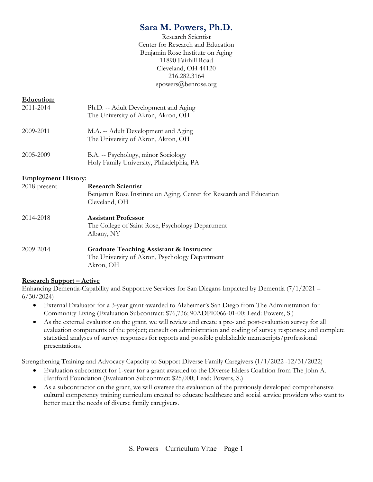# Sara M. Powers, Ph.D.

Research Scientist Center for Research and Education Benjamin Rose Institute on Aging 11890 Fairhill Road Cleveland, OH 44120 216.282.3164 spowers@benrose.org

### Education:

| 2011-2014 | Ph.D. -- Adult Development and Aging<br>The University of Akron, Akron, OH |
|-----------|----------------------------------------------------------------------------|
| 2009-2011 | M.A. -- Adult Development and Aging<br>The University of Akron, Akron, OH  |
| 2005-2009 | B.A. -- Psychology, minor Sociology                                        |

Holy Family University, Philadelphia, PA

#### Employment History:

| $2018$ -present | <b>Research Scientist</b><br>Benjamin Rose Institute on Aging, Center for Research and Education<br>Cleveland, OH |
|-----------------|-------------------------------------------------------------------------------------------------------------------|
| 2014-2018       | <b>Assistant Professor</b><br>The College of Saint Rose, Psychology Department<br>Albany, NY                      |
| 2009-2014       | Graduate Teaching Assistant & Instructor<br>The University of Akron, Psychology Department<br>Akron, OH           |

### Research Support – Active

Enhancing Dementia-Capability and Supportive Services for San Diegans Impacted by Dementia (7/1/2021 – 6/30/2024)

- External Evaluator for a 3-year grant awarded to Alzheimer's San Diego from The Administration for Community Living (Evaluation Subcontract: \$76,736; 90ADPI0066-01-00; Lead: Powers, S.)
- As the external evaluator on the grant, we will review and create a pre- and post-evaluation survey for all evaluation components of the project; consult on administration and coding of survey responses; and complete statistical analyses of survey responses for reports and possible publishable manuscripts/professional presentations.

Strengthening Training and Advocacy Capacity to Support Diverse Family Caregivers (1/1/2022 -12/31/2022)

- Evaluation subcontract for 1-year for a grant awarded to the Diverse Elders Coalition from The John A. Hartford Foundation (Evaluation Subcontract: \$25,000; Lead: Powers, S.)
- As a subcontractor on the grant, we will oversee the evaluation of the previously developed comprehensive cultural competency training curriculum created to educate healthcare and social service providers who want to better meet the needs of diverse family caregivers.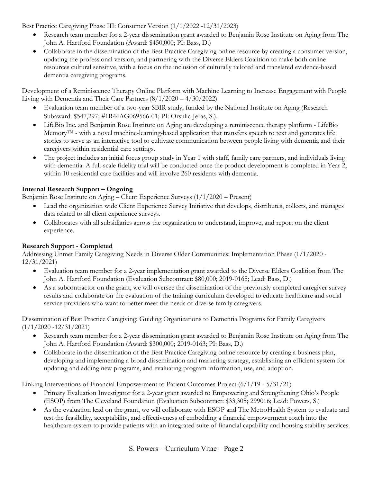Best Practice Caregiving Phase III: Consumer Version (1/1/2022 -12/31/2023)

- Research team member for a 2-year dissemination grant awarded to Benjamin Rose Institute on Aging from The John A. Hartford Foundation (Award: \$450,000; PI: Bass, D.)
- Collaborate in the dissemination of the Best Practice Caregiving online resource by creating a consumer version, updating the professional version, and partnering with the Diverse Elders Coalition to make both online resources cultural sensitive, with a focus on the inclusion of culturally tailored and translated evidence-based dementia caregiving programs.

Development of a Reminiscence Therapy Online Platform with Machine Learning to Increase Engagement with People Living with Dementia and Their Care Partners (8/1/2020 – 4/30/2022)

- Evaluation team member of a two-year SBIR study, funded by the National Institute on Aging (Research Subaward: \$547,297; #1R44AG069566-01; PI: Orsulic-Jeras, S.).
- LifeBio Inc. and Benjamin Rose Institute on Aging are developing a reminiscence therapy platform LifeBio Memory<sup>TM</sup> - with a novel machine-learning-based application that transfers speech to text and generates life stories to serve as an interactive tool to cultivate communication between people living with dementia and their caregivers within residential care settings.
- The project includes an initial focus group study in Year 1 with staff, family care partners, and individuals living with dementia. A full-scale fidelity trial will be conducted once the product development is completed in Year 2, within 10 residential care facilities and will involve 260 residents with dementia.

# Internal Research Support – Ongoing

Benjamin Rose Institute on Aging – Client Experience Surveys (1/1/2020 – Present)

- Lead the organization wide Client Experience Survey Initiative that develops, distributes, collects, and manages data related to all client experience surveys.
- Collaborates with all subsidiaries across the organization to understand, improve, and report on the client experience.

# Research Support - Completed

Addressing Unmet Family Caregiving Needs in Diverse Older Communities: Implementation Phase (1/1/2020 - 12/31/2021)

- Evaluation team member for a 2-year implementation grant awarded to the Diverse Elders Coalition from The John A. Hartford Foundation (Evaluation Subcontract: \$80,000; 2019-0165; Lead: Bass, D.)
- As a subcontractor on the grant, we will oversee the dissemination of the previously completed caregiver survey results and collaborate on the evaluation of the training curriculum developed to educate healthcare and social service providers who want to better meet the needs of diverse family caregivers.

Dissemination of Best Practice Caregiving: Guiding Organizations to Dementia Programs for Family Caregivers  $(1/1/2020 - 12/31/2021)$ 

- Research team member for a 2-year dissemination grant awarded to Benjamin Rose Institute on Aging from The John A. Hartford Foundation (Award: \$300,000; 2019-0163; PI: Bass, D.)
- Collaborate in the dissemination of the Best Practice Caregiving online resource by creating a business plan, developing and implementing a broad dissemination and marketing strategy, establishing an efficient system for updating and adding new programs, and evaluating program information, use, and adoption.

Linking Interventions of Financial Empowerment to Patient Outcomes Project (6/1/19 - 5/31/21)

- Primary Evaluation Investigator for a 2-year grant awarded to Empowering and Strengthening Ohio's People (ESOP) from The Cleveland Foundation (Evaluation Subcontract: \$33,305; 299016; Lead: Powers, S.)
- As the evaluation lead on the grant, we will collaborate with ESOP and The MetroHealth System to evaluate and test the feasibility, acceptability, and effectiveness of embedding a financial empowerment coach into the healthcare system to provide patients with an integrated suite of financial capability and housing stability services.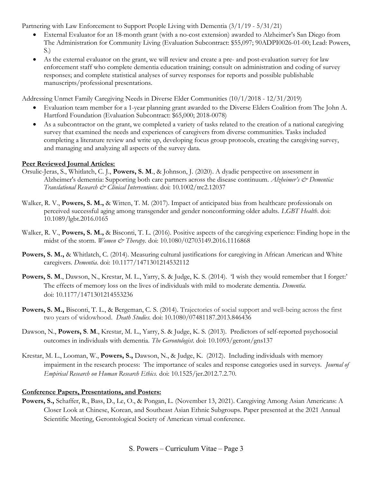Partnering with Law Enforcement to Support People Living with Dementia (3/1/19 - 5/31/21)

- External Evaluator for an 18-month grant (with a no-cost extension) awarded to Alzheimer's San Diego from The Administration for Community Living (Evaluation Subcontract: \$55,097; 90ADPI0026-01-00; Lead: Powers, S.)
- As the external evaluator on the grant, we will review and create a pre- and post-evaluation survey for law enforcement staff who complete dementia education training; consult on administration and coding of survey responses; and complete statistical analyses of survey responses for reports and possible publishable manuscripts/professional presentations.

Addressing Unmet Family Caregiving Needs in Diverse Elder Communities (10/1/2018 - 12/31/2019)

- Evaluation team member for a 1-year planning grant awarded to the Diverse Elders Coalition from The John A. Hartford Foundation (Evaluation Subcontract: \$65,000; 2018-0078)
- As a subcontractor on the grant, we completed a variety of tasks related to the creation of a national caregiving survey that examined the needs and experiences of caregivers from diverse communities. Tasks included completing a literature review and write up, developing focus group protocols, creating the caregiving survey, and managing and analyzing all aspects of the survey data.

# Peer Reviewed Journal Articles:

- Orsulic-Jeras, S., Whitlatch, C. J., Powers, S. M., & Johnson, J. (2020). A dyadic perspective on assessment in Alzheimer's dementia: Supporting both care partners across the disease continuum. Alzheimer's  $\dot{\mathcal{C}}$  Dementia: Translational Research & Clinical Interventions. doi: 10.1002/trc2.12037
- Walker, R. V., Powers, S. M., & Witten, T. M. (2017). Impact of anticipated bias from healthcare professionals on perceived successful aging among transgender and gender nonconforming older adults. LGBT Health. doi: 10.1089/lgbt.2016.0165
- Walker, R. V., **Powers, S. M.,** & Bisconti, T. L. (2016). Positive aspects of the caregiving experience: Finding hope in the midst of the storm. Women & Therapy. doi: 10.1080/02703149.2016.1116868
- Powers, S. M., & Whitlatch, C. (2014). Measuring cultural justifications for caregiving in African American and White caregivers. Dementia. doi: 10.1177/1471301214532112
- Powers, S. M., Dawson, N., Krestar, M. L., Yarry, S. & Judge, K. S. (2014). T wish they would remember that I forget: The effects of memory loss on the lives of individuals with mild to moderate dementia. *Dementia*. doi: 10.1177/1471301214553236
- Powers, S. M., Bisconti, T. L., & Bergeman, C. S. (2014). Trajectories of social support and well-being across the first two years of widowhood. Death Studies. doi: 10.1080/07481187.2013.846436
- Dawson, N., Powers, S. M., Krestar, M. L., Yarry, S. & Judge, K. S. (2013). Predictors of self-reported psychosocial outcomes in individuals with dementia. The Gerontologist. doi: 10.1093/geront/gns137
- Krestar, M. L., Looman, W., Powers, S., Dawson, N., & Judge, K. (2012). Including individuals with memory impairment in the research process: The importance of scales and response categories used in surveys. Journal of Empirical Research on Human Research Ethics. doi: 10.1525/jer.2012.7.2.70.

# Conference Papers, Presentations, and Posters:

Powers, S., Schaffer, R., Bass, D., Le, O., & Pongan, L. (November 13, 2021). Caregiving Among Asian Americans: A Closer Look at Chinese, Korean, and Southeast Asian Ethnic Subgroups. Paper presented at the 2021 Annual Scientific Meeting, Gerontological Society of American virtual conference.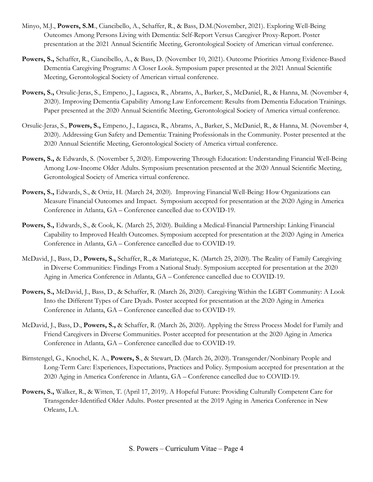- Minyo, M.J., Powers, S.M., Ciancibello, A., Schaffer, R., & Bass, D.M.(November, 2021). Exploring Well-Being Outcomes Among Persons Living with Dementia: Self-Report Versus Caregiver Proxy-Report. Poster presentation at the 2021 Annual Scientific Meeting, Gerontological Society of American virtual conference.
- Powers, S., Schaffer, R., Ciancibello, A., & Bass, D. (November 10, 2021). Outcome Priorities Among Evidence-Based Dementia Caregiving Programs: A Closer Look. Symposium paper presented at the 2021 Annual Scientific Meeting, Gerontological Society of American virtual conference.
- Powers, S., Orsulic-Jeras, S., Empeno, J., Lagasca, R., Abrams, A., Barker, S., McDaniel, R., & Hanna, M. (November 4, 2020). Improving Dementia Capability Among Law Enforcement: Results from Dementia Education Trainings. Paper presented at the 2020 Annual Scientific Meeting, Gerontological Society of America virtual conference.
- Orsulic-Jeras, S., Powers, S., Empeno, J., Lagasca, R., Abrams, A., Barker, S., McDaniel, R., & Hanna, M. (November 4, 2020). Addressing Gun Safety and Dementia: Training Professionals in the Community. Poster presented at the 2020 Annual Scientific Meeting, Gerontological Society of America virtual conference.
- Powers, S., & Edwards, S. (November 5, 2020). Empowering Through Education: Understanding Financial Well-Being Among Low-Income Older Adults. Symposium presentation presented at the 2020 Annual Scientific Meeting, Gerontological Society of America virtual conference.
- Powers, S., Edwards, S., & Ortiz, H. (March 24, 2020). Improving Financial Well-Being: How Organizations can Measure Financial Outcomes and Impact. Symposium accepted for presentation at the 2020 Aging in America Conference in Atlanta, GA – Conference cancelled due to COVID-19.
- Powers, S., Edwards, S., & Cook, K. (March 25, 2020). Building a Medical-Financial Partnership: Linking Financial Capability to Improved Health Outcomes. Symposium accepted for presentation at the 2020 Aging in America Conference in Atlanta, GA – Conference cancelled due to COVID-19.
- McDavid, J., Bass, D., Powers, S., Schaffer, R., & Mariategue, K. (Martch 25, 2020). The Reality of Family Caregiving in Diverse Communities: Findings From a National Study. Symposium accepted for presentation at the 2020 Aging in America Conference in Atlanta, GA – Conference cancelled due to COVID-19.
- Powers, S., McDavid, J., Bass, D., & Schaffer, R. (March 26, 2020). Caregiving Within the LGBT Community: A Look Into the Different Types of Care Dyads. Poster accepted for presentation at the 2020 Aging in America Conference in Atlanta, GA – Conference cancelled due to COVID-19.
- McDavid, J., Bass, D., Powers, S., & Schaffer, R. (March 26, 2020). Applying the Stress Process Model for Family and Friend Caregivers in Diverse Communities. Poster accepted for presentation at the 2020 Aging in America Conference in Atlanta, GA – Conference cancelled due to COVID-19.
- Birnstengel, G., Knochel, K. A., Powers, S., & Stewart, D. (March 26, 2020). Transgender/Nonbinary People and Long-Term Care: Experiences, Expectations, Practices and Policy. Symposium accepted for presentation at the 2020 Aging in America Conference in Atlanta, GA – Conference cancelled due to COVID-19.
- Powers, S., Walker, R., & Witten, T. (April 17, 2019). A Hopeful Future: Providing Culturally Competent Care for Transgender-Identified Older Adults. Poster presented at the 2019 Aging in America Conference in New Orleans, LA.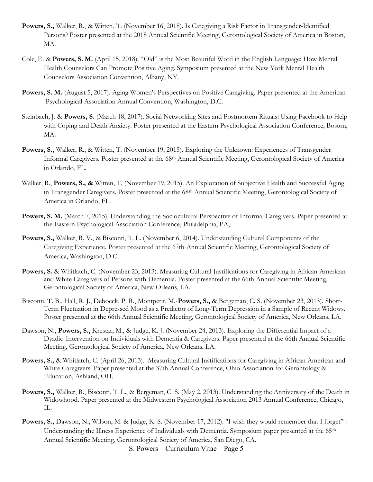- Powers, S., Walker, R., & Witten, T. (November 16, 2018). Is Caregiving a Risk Factor in Transgender-Identified Persons? Poster presented at the 2018 Annual Scientific Meeting, Gerontological Society of America in Boston, MA.
- Cole, E. & Powers, S. M. (April 15, 2018). "Old" is the Most Beautiful Word in the English Language: How Mental Health Counselors Can Promote Positive Aging. Symposium presented at the New York Mental Health Counselors Association Convention, Albany, NY.
- Powers, S. M. (August 5, 2017). Aging Women's Perspectives on Positive Caregiving. Paper presented at the American Psychological Association Annual Convention, Washington, D.C.
- Steinbach, J. & Powers, S. (March 18, 2017). Social Networking Sites and Postmortem Rituals: Using Facebook to Help with Coping and Death Anxiety. Poster presented at the Eastern Psychological Association Conference, Boston, MA.
- Powers, S., Walker, R., & Witten, T. (November 19, 2015). Exploring the Unknown: Experiences of Transgender Informal Caregivers. Poster presented at the 68th Annual Scientific Meeting, Gerontological Society of America in Orlando, FL.
- Walker, R., Powers, S., & Witten, T. (November 19, 2015). An Exploration of Subjective Health and Successful Aging in Transgender Caregivers. Poster presented at the 68<sup>th</sup> Annual Scientific Meeting, Gerontological Society of America in Orlando, FL.
- Powers, S. M. (March 7, 2015). Understanding the Sociocultural Perspective of Informal Caregivers. Paper presented at the Eastern Psychological Association Conference, Philadelphia, PA,
- Powers, S., Walker, R. V., & Bisconti, T. L. (November 6, 2014). Understanding Cultural Components of the Caregiving Experience. Poster presented at the 67th Annual Scientific Meeting, Gerontological Society of America, Washington, D.C.
- Powers, S. & Whitlatch, C. (November 23, 2013). Measuring Cultural Justifications for Caregiving in African American and White Caregivers of Persons with Dementia. Poster presented at the 66th Annual Scientific Meeting, Gerontological Society of America, New Orleans, LA.
- Bisconti, T. B., Hall, R. J., Deboeck, P. R., Montpetit, M., Powers, S., & Bergeman, C. S. (November 23, 2013). Short- Term Fluctuation in Depressed Mood as a Predictor of Long-Term Depression in a Sample of Recent Widows. Poster presented at the 66th Annual Scientific Meeting, Gerontological Society of America, New Orleans, LA.
- Dawson, N., Powers, S., Krestar, M., & Judge, K. J. (November 24, 2013). Exploring the Differential Impact of a Dyadic Intervention on Individuals with Dementia & Caregivers. Paper presented at the 66th Annual Scientific Meeting, Gerontological Society of America, New Orleans, LA.
- Powers, S., & Whitlatch, C. (April 26, 2013). Measuring Cultural Justifications for Caregiving in African American and White Caregivers. Paper presented at the 37th Annual Conference, Ohio Association for Gerontology & Education, Ashland, OH.
- Powers, S., Walker, R., Bisconti, T. L., & Bergeman, C. S. (May 2, 2013). Understanding the Anniversary of the Death in Widowhood. Paper presented at the Midwestern Psychological Association 2013 Annual Conference, Chicago, IL.
- S. Powers Curriculum Vitae Page 5 Powers, S., Dawson, N., Wilson, M. & Judge, K. S. (November 17, 2012). "I wish they would remember that I forget" -Understanding the Illness Experience of Individuals with Dementia. Symposium paper presented at the 65<sup>th</sup> Annual Scientific Meeting, Gerontological Society of America, San Diego, CA.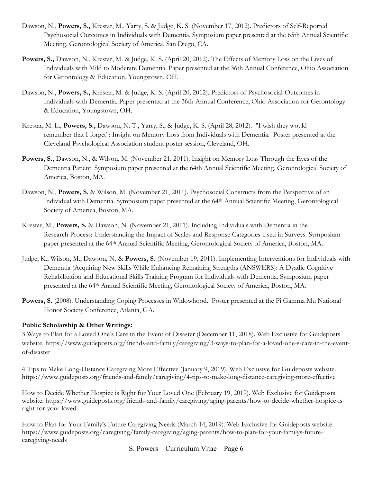- Dawson, N., Powers, S., Krestar, M., Yarry, S. & Judge, K. S. (November 17, 2012). Predictors of Self-Reported Psychosocial Outcomes in Individuals with Dementia. Symposium paper presented at the 65th Annual Scientific Meeting, Gerontological Society of America, San Diego, CA.
- Powers, S., Dawson, N., Krestar, M. & Judge, K. S. (April 20, 2012). The Effects of Memory Loss on the Lives of Individuals with Mild to Moderate Dementia. Paper presented at the 36th Annual Conference, Ohio Association for Gerontology & Education, Youngstown, OH.
- Dawson, N., Powers, S., Krestar, M. & Judge, K. S. (April 20, 2012). Predictors of Psychosocial Outcomes in Individuals with Dementia. Paper presented at the 36th Annual Conference, Ohio Association for Gerontology & Education, Youngstown, OH.
- Krestar, M. L., Powers, S., Dawson, N. T., Yarry, S., & Judge, K. S. (April 28, 2012). "I wish they would remember that I forget": Insight on Memory Loss from Individuals with Dementia. Poster presented at the Cleveland Psychological Association student poster session, Cleveland, OH.
- Powers, S., Dawson, N., & Wilson, M. (November 21, 2011). Insight on Memory Loss Through the Eyes of the Dementia Patient. Symposium paper presented at the 64th Annual Scientific Meeting, Gerontological Society of America, Boston, MA.
- Dawson, N., Powers, S. & Wilson, M. (November 21, 2011). Psychosocial Constructs from the Perspective of an Individual with Dementia. Symposium paper presented at the 64th Annual Scientific Meeting, Gerontological Society of America, Boston, MA.
- Krestar, M., Powers, S. & Dawson, N. (November 21, 2011). Including Individuals with Dementia in the Research Process: Understanding the Impact of Scales and Response Categories Used in Surveys. Symposium paper presented at the 64th Annual Scientific Meeting, Gerontological Society of America, Boston, MA.
- Judge, K., Wilson, M., Dawson, N. & Powers, S. (November 19, 2011). Implementing Interventions for Individuals with Dementia (Acquiring New Skills While Enhancing Remaining Strengths (ANSWERS): A Dyadic Cognitive Rehabilitation and Educational Skills Training Program for Individuals with Dementia. Symposium paper presented at the 64th Annual Scientific Meeting, Gerontological Society of America, Boston, MA.
- Powers, S. (2008). Understanding Coping Processes in Widowhood. Poster presented at the Pi Gamma Mu National Honor Society Conference, Atlanta, GA.

### Public Scholarship & Other Writings:

3 Ways to Plan for a Loved One's Care in the Event of Disaster (December 11, 2018). Web Exclusive for Guideposts website. https://www.guideposts.org/friends-and-family/caregiving/3-ways-to-plan-for-a-loved-one-s-care-in-the-eventof-disaster

4 Tips to Make Long-Distance Caregiving More Effective (January 9, 2019). Web Exclusive for Guideposts website. https://www.guideposts.org/friends-and-family/caregiving/4-tips-to-make-long-distance-caregiving-more-effective

How to Decide Whether Hospice is Right for Your Loved One (February 19, 2019). Web Exclusive for Guideposts website. https://www.guideposts.org/friends-and-family/caregiving/aging-parents/how-to-decide-whether-hospice-isright-for-your-loved

How to Plan for Your Family's Future Caregiving Needs (March 14, 2019). Web Exclusive for Guideposts website. https://www.guideposts.org/caregiving/family-caregiving/aging-parents/how-to-plan-for-your-familys-futurecaregiving-needs

S. Powers – Curriculum Vitae – Page 6